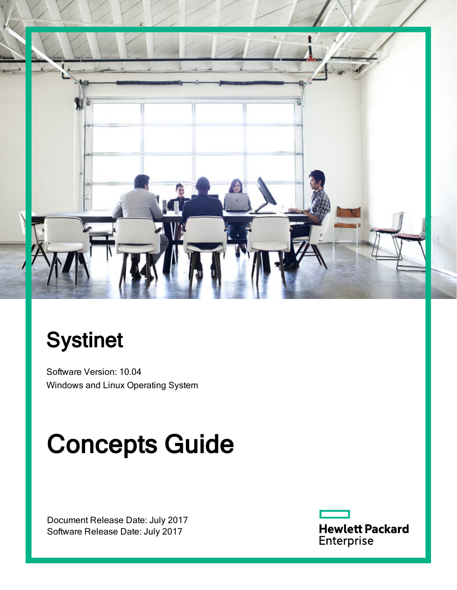

# **Systinet**

Software Version: 10.04 Windows and Linux Operating System

# Concepts Guide

Document Release Date: July 2017 Software Release Date: July 2017

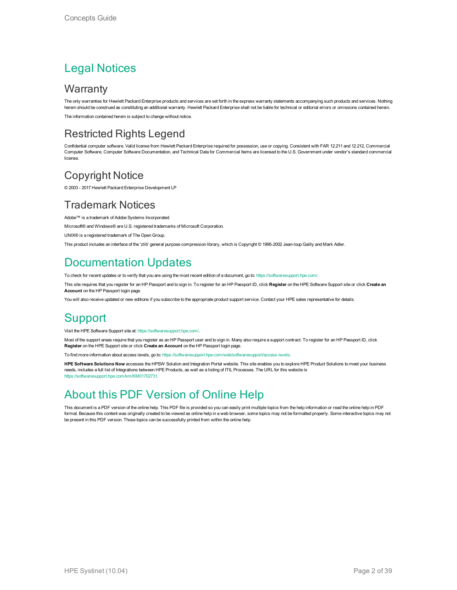#### Legal Notices

#### **Warranty**

The only warranties for Hewlett Packard Enterprise products and services are set forth in the express warranty statements accompanying such products and services. Nothing herein should be construed as constituting an additional warranty. Hewlett Packard Enterprise shall not be liable for technical or editorial errors or omissions contained herein. The information contained herein is subject to change without notice.

#### Restricted Rights Legend

Confidential computer software. Valid license from Hewlett Packard Enterprise required for possession, use or copying. Consistent with FAR 12.211 and 12.212, Commercial Computer Software, Computer Software Documentation, and Technical Data for Commercial Items are licensed to the U.S. Government under vendor's standard commercial license.

#### Copyright Notice

© 2003 - 2017 Hewlett Packard Enterprise Development LP

#### Trademark Notices

Adobe™ is a trademark of Adobe Systems Incorporated.

Microsoft® and Windows® are U.S. registered trademarks of Microsoft Corporation.

UNIX® is a registered trademark of The Open Group.

This product includes an interface of the 'zlib' general purpose compression library, which is Copyright © 1995-2002 Jean-loup Gailly and Mark Adler.

#### Documentation Updates

To check for recent updates or to verify that you are using the most recent edition of a document, go to: <https://softwaresupport.hpe.com/>.

This site requires that you register for an HP Passport and to sign in. To register for an HP Passport ID, click **Register** on the HPE Software Support site or click **Create an Account** on the HP Passport login page.

You will also receive updated or new editions if you subscribe to the appropriate product support service. Contact your HPE sales representative for details.

#### **Support**

Visit the HPE Software Support site at: <https://softwaresupport.hpe.com/>.

Most of the support areas require that you register as an HP Passport user and to sign in. Many also require a support contract. To register for an HP Passport ID, click **Register** on the HPE Support site or click **Create an Account** on the HP Passport login page.

To find more information about access levels, go to: <https://softwaresupport.hpe.com/web/softwaresupport/access-levels>.

**HPE Software Solutions Now** accesses the HPSW Solution and Integration Portal website. This site enables you to explore HPE Product Solutions to meet your business needs, includes a full list of Integrations between HPE Products, as well as a listing of ITIL Processes. The URL for this website is [https://softwaresupport.hpe.com/km/KM01702731.](https://softwaresupport.hpe.com/km/KM01702731)

#### About this PDF Version of Online Help

This document is a PDF version of the online help. This PDF file is provided so you can easily print multiple topics from the help information or read the online help in PDF format. Because this content was originally created to be viewed as online help in a web browser, some topics may not be formatted properly. Some interactive topics may not be present in this PDF version. Those topics can be successfully printed from within the online help.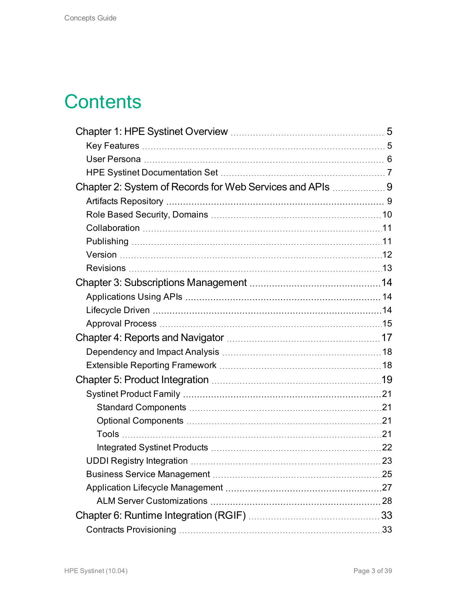### **Contents**

| Chapter 2: System of Records for Web Services and APIs 9 |  |
|----------------------------------------------------------|--|
|                                                          |  |
|                                                          |  |
|                                                          |  |
|                                                          |  |
|                                                          |  |
|                                                          |  |
|                                                          |  |
|                                                          |  |
|                                                          |  |
|                                                          |  |
|                                                          |  |
|                                                          |  |
|                                                          |  |
|                                                          |  |
|                                                          |  |
|                                                          |  |
|                                                          |  |
|                                                          |  |
|                                                          |  |
|                                                          |  |
|                                                          |  |
|                                                          |  |
|                                                          |  |
|                                                          |  |
|                                                          |  |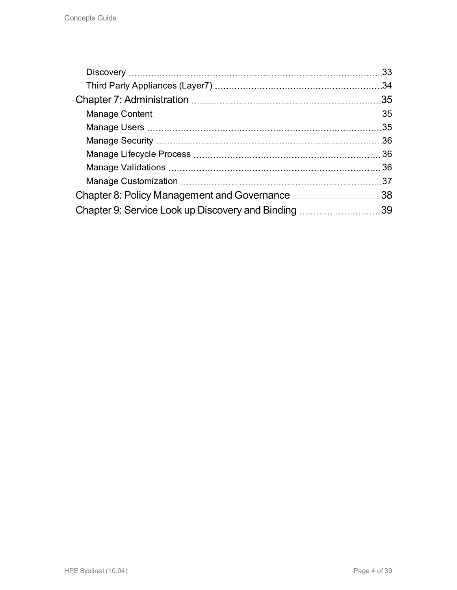|                                                     | .33 |
|-----------------------------------------------------|-----|
|                                                     | .34 |
|                                                     | .35 |
|                                                     |     |
|                                                     |     |
|                                                     | .36 |
|                                                     |     |
|                                                     |     |
|                                                     |     |
|                                                     |     |
| Chapter 9: Service Look up Discovery and Binding 39 |     |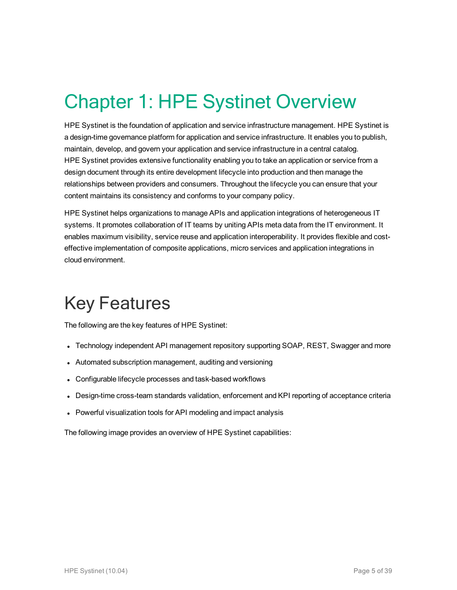# <span id="page-4-0"></span>Chapter 1: HPE Systinet Overview

HPE Systinet is the foundation of application and service infrastructure management. HPE Systinet is a design-time governance platform for application and service infrastructure. It enables you to publish, maintain, develop, and govern your application and service infrastructure in a central catalog. HPE Systinet provides extensive functionality enabling you to take an application or service from a design document through its entire development lifecycle into production and then manage the relationships between providers and consumers. Throughout the lifecycle you can ensure that your content maintains its consistency and conforms to your company policy.

HPE Systinet helps organizations to manage APIs and application integrations of heterogeneous IT systems. It promotes collaboration of IT teams by uniting APIs meta data from the IT environment. It enables maximum visibility, service reuse and application interoperability. It provides flexible and costeffective implementation of composite applications, micro services and application integrations in cloud environment.

## <span id="page-4-1"></span>Key Features

The following are the key features of HPE Systinet:

- Technology independent API management repository supporting SOAP, REST, Swagger and more
- Automated subscription management, auditing and versioning
- Configurable lifecycle processes and task-based workflows
- Design-time cross-team standards validation, enforcement and KPI reporting of acceptance criteria
- Powerful visualization tools for API modeling and impact analysis

The following image provides an overview of HPE Systinet capabilities: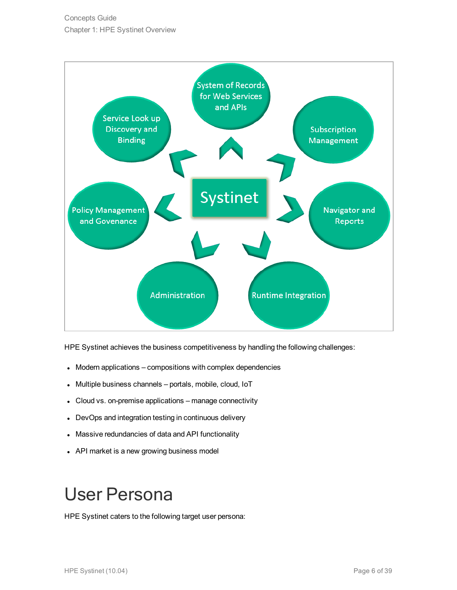

HPE Systinet achieves the business competitiveness by handling the following challenges:

- Modern applications compositions with complex dependencies
- Multiple business channels portals, mobile, cloud, IoT
- Cloud vs. on-premise applications manage connectivity
- DevOps and integration testing in continuous delivery
- Massive redundancies of data and API functionality
- <span id="page-5-0"></span>• API market is a new growing business model

## User Persona

HPE Systinet caters to the following target user persona: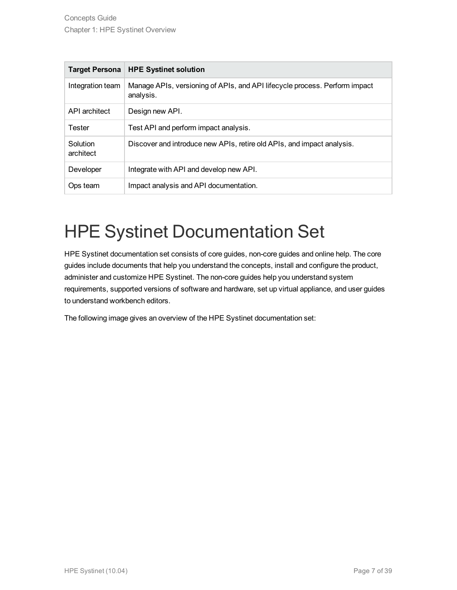| <b>Target Persona</b> | <b>HPE Systinet solution</b>                                                            |
|-----------------------|-----------------------------------------------------------------------------------------|
| Integration team      | Manage APIs, versioning of APIs, and API lifecycle process. Perform impact<br>analysis. |
| API architect         | Design new API.                                                                         |
| <b>Tester</b>         | Test API and perform impact analysis.                                                   |
| Solution<br>architect | Discover and introduce new APIs, retire old APIs, and impact analysis.                  |
| Developer             | Integrate with API and develop new API.                                                 |
| Ops team              | Impact analysis and API documentation.                                                  |

## <span id="page-6-0"></span>HPE Systinet Documentation Set

HPE Systinet documentation set consists of core guides, non-core guides and online help. The core guides include documents that help you understand the concepts, install and configure the product, administer and customize HPE Systinet. The non-core guides help you understand system requirements, supported versions of software and hardware, set up virtual appliance, and user guides to understand workbench editors.

The following image gives an overview of the HPE Systinet documentation set: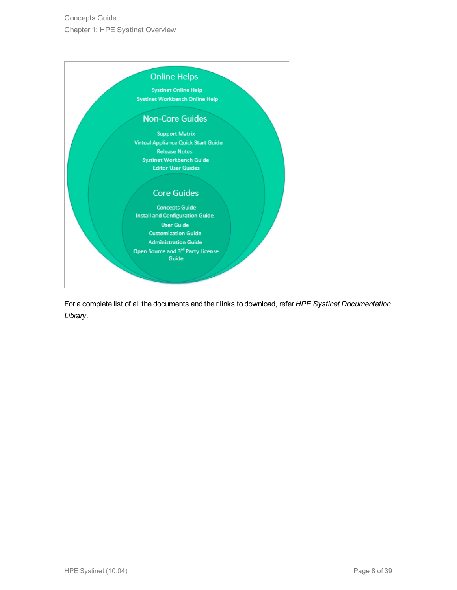

For a complete list of all the documents and their links to download, refer *HPE Systinet Documentation Library*.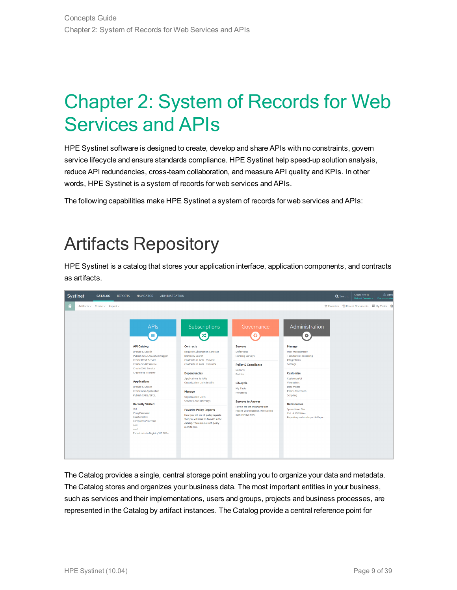## <span id="page-8-0"></span>Chapter 2: System of Records for Web Services and APIs

HPE Systinet software is designed to create, develop and share APIs with no constraints, govern service lifecycle and ensure standards compliance. HPE Systinet help speed-up solution analysis, reduce API redundancies, cross-team collaboration, and measure API quality and KPIs. In other words, HPE Systinet is a system of records for web services and APIs.

<span id="page-8-1"></span>The following capabilities make HPE Systinet a system of records for web services and APIs:

### Artifacts Repository

HPE Systinet is a catalog that stores your application interface, application components, and contracts as artifacts.



The Catalog provides a single, central storage point enabling you to organize your data and metadata. The Catalog stores and organizes your business data. The most important entities in your business, such as services and their implementations, users and groups, projects and business processes, are represented in the Catalog by artifact instances. The Catalog provide a central reference point for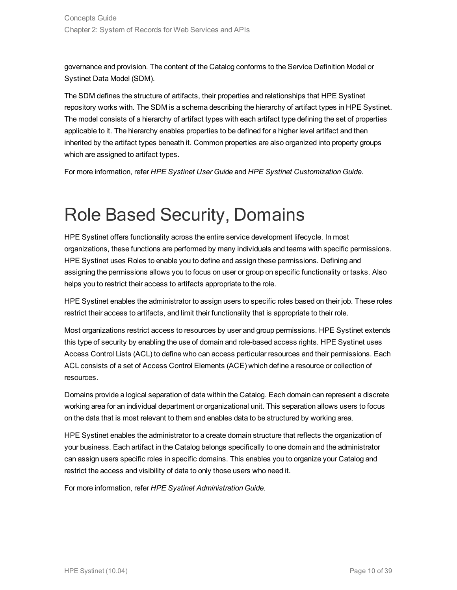governance and provision. The content of the Catalog conforms to the Service Definition Model or Systinet Data Model (SDM).

The SDM defines the structure of artifacts, their properties and relationships that HPE Systinet repository works with. The SDM is a schema describing the hierarchy of artifact types in HPE Systinet. The model consists of a hierarchy of artifact types with each artifact type defining the set of properties applicable to it. The hierarchy enables properties to be defined for a higher level artifact and then inherited by the artifact types beneath it. Common properties are also organized into property groups which are assigned to artifact types.

<span id="page-9-0"></span>For more information, refer *HPE Systinet User Guide* and *HPE Systinet Customization Guide*.

### Role Based Security, Domains

HPE Systinet offers functionality across the entire service development lifecycle. In most organizations, these functions are performed by many individuals and teams with specific permissions. HPE Systinet uses Roles to enable you to define and assign these permissions. Defining and assigning the permissions allows you to focus on user or group on specific functionality or tasks. Also helps you to restrict their access to artifacts appropriate to the role.

HPE Systinet enables the administrator to assign users to specific roles based on their job. These roles restrict their access to artifacts, and limit their functionality that is appropriate to their role.

Most organizations restrict access to resources by user and group permissions. HPE Systinet extends this type of security by enabling the use of domain and role-based access rights. HPE Systinet uses Access Control Lists (ACL) to define who can access particular resources and their permissions. Each ACL consists of a set of Access Control Elements (ACE) which define a resource or collection of resources.

Domains provide a logical separation of data within the Catalog. Each domain can represent a discrete working area for an individual department or organizational unit. This separation allows users to focus on the data that is most relevant to them and enables data to be structured by working area.

HPE Systinet enables the administrator to a create domain structure that reflects the organization of your business. Each artifact in the Catalog belongs specifically to one domain and the administrator can assign users specific roles in specific domains. This enables you to organize your Catalog and restrict the access and visibility of data to only those users who need it.

For more information, refer *HPE Systinet Administration Guide*.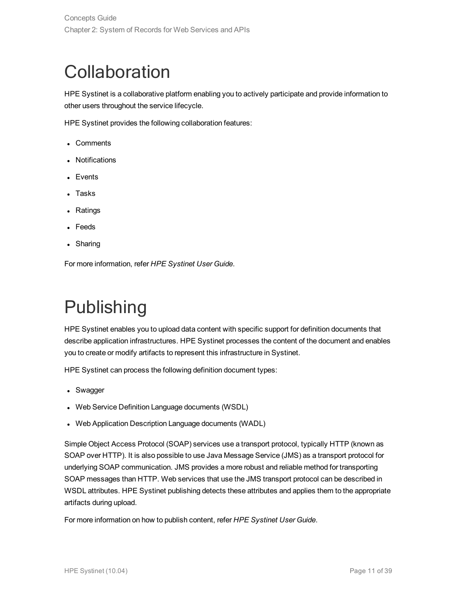## <span id="page-10-0"></span>**Collaboration**

HPE Systinet is a collaborative platform enabling you to actively participate and provide information to other users throughout the service lifecycle.

HPE Systinet provides the following collaboration features:

- Comments
- Notifications
- $\bullet$  Events
- Tasks
- Ratings
- Feeds
- Sharing

<span id="page-10-1"></span>For more information, refer *HPE Systinet User Guide*.

## Publishing

HPE Systinet enables you to upload data content with specific support for definition documents that describe application infrastructures. HPE Systinet processes the content of the document and enables you to create or modify artifacts to represent this infrastructure in Systinet.

HPE Systinet can process the following definition document types:

- Swagger
- Web Service Definition Language documents (WSDL)
- Web Application Description Language documents (WADL)

Simple Object Access Protocol (SOAP) services use a transport protocol, typically HTTP (known as SOAP over HTTP). It is also possible to use Java Message Service (JMS) as a transport protocol for underlying SOAP communication. JMS provides a more robust and reliable method for transporting SOAP messages than HTTP. Web services that use the JMS transport protocol can be described in WSDL attributes. HPE Systinet publishing detects these attributes and applies them to the appropriate artifacts during upload.

For more information on how to publish content, refer *HPE Systinet User Guide*.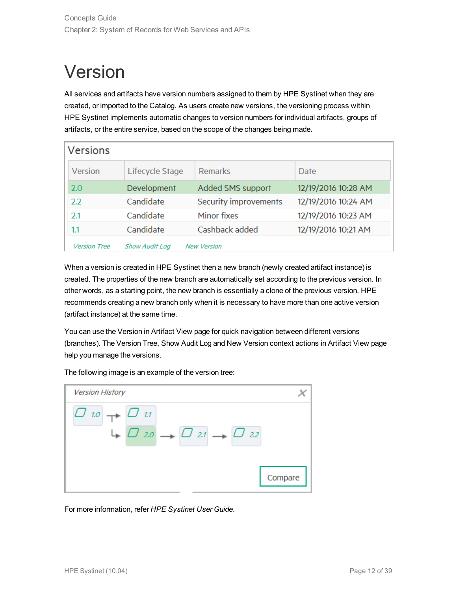## <span id="page-11-0"></span>Version

All services and artifacts have version numbers assigned to them by HPE Systinet when they are created, or imported to the Catalog. As users create new versions, the versioning process within HPE Systinet implements automatic changes to version numbers for individual artifacts, groups of artifacts, or the entire service, based on the scope of the changes being made.

| <b>Versions</b>     |                 |                       |                     |
|---------------------|-----------------|-----------------------|---------------------|
| Version             | Lifecycle Stage | Remarks               | Date                |
| 2.0                 | Development     | Added SMS support     | 12/19/2016 10:28 AM |
| 2.2                 | Candidate       | Security improvements | 12/19/2016 10:24 AM |
| 2.1                 | Candidate       | Minor fixes           | 12/19/2016 10:23 AM |
| 1.1                 | Candidate       | Cashback added        | 12/19/2016 10:21 AM |
| <b>Version Tree</b> | Show Audit Log  | <b>New Version</b>    |                     |

When a version is created in HPE Systinet then a new branch (newly created artifact instance) is created. The properties of the new branch are automatically set according to the previous version. In other words, as a starting point, the new branch is essentially a clone of the previous version. HPE recommends creating a new branch only when it is necessary to have more than one active version (artifact instance) at the same time.

You can use the Version in Artifact View page for quick navigation between different versions (branches). The Version Tree, Show Audit Log and New Version context actions in Artifact View page help you manage the versions.

The following image is an example of the version tree:

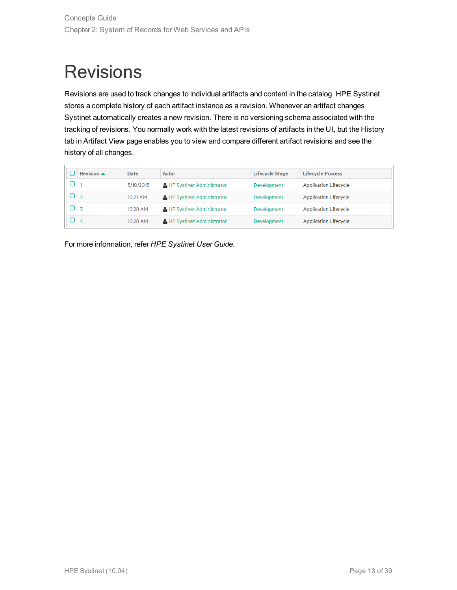## <span id="page-12-0"></span>**Revisions**

Revisions are used to track changes to individual artifacts and content in the catalog. HPE Systinet stores a complete history of each artifact instance as a revision. Whenever an artifact changes Systinet automatically creates a new revision. There is no versioning schema associated with the tracking of revisions. You normally work with the latest revisions of artifacts in the UI, but the History tab in Artifact View page enables you to view and compare different artifact revisions and see the history of all changes.

|    | Revision $\blacktriangle$ | <b>Date</b> | <b>Actor</b>                       | <b>Lifecycle Stage</b> | <b>Lifecycle Process</b>     |
|----|---------------------------|-------------|------------------------------------|------------------------|------------------------------|
|    |                           | 5/10/2015   | <b>A</b> HP Systinet Administrator | <b>Development</b>     | <b>Application Lifecycle</b> |
|    |                           | $10:21$ AM  | <b>A HP Systinet Administrator</b> | Development            | <b>Application Lifecycle</b> |
| ロス |                           | $10:28$ AM  | HP Systinet Administrator          | Development            | <b>Application Lifecycle</b> |
|    | 4                         | $10:28$ AM  | <b>A</b> HP Systinet Administrator | Development            | <b>Application Lifecycle</b> |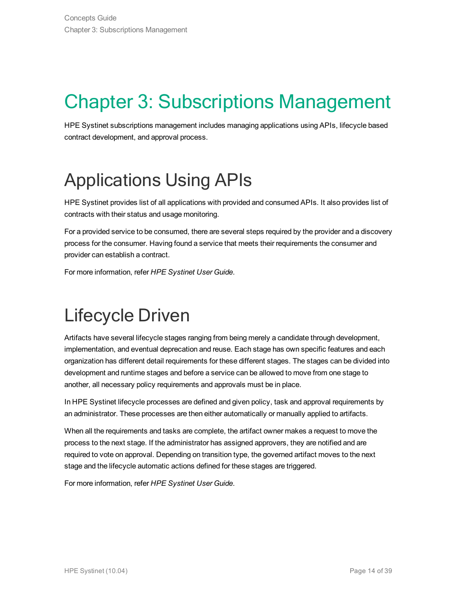# <span id="page-13-0"></span>Chapter 3: Subscriptions Management

HPE Systinet subscriptions management includes managing applications using APIs, lifecycle based contract development, and approval process.

## <span id="page-13-1"></span>Applications Using APIs

HPE Systinet provides list of all applications with provided and consumed APIs. It also provides list of contracts with their status and usage monitoring.

For a provided service to be consumed, there are several steps required by the provider and a discovery process for the consumer. Having found a service that meets their requirements the consumer and provider can establish a contract.

<span id="page-13-2"></span>For more information, refer *HPE Systinet User Guide*.

## Lifecycle Driven

Artifacts have several lifecycle stages ranging from being merely a candidate through development, implementation, and eventual deprecation and reuse. Each stage has own specific features and each organization has different detail requirements for these different stages. The stages can be divided into development and runtime stages and before a service can be allowed to move from one stage to another, all necessary policy requirements and approvals must be in place.

In HPE Systinet lifecycle processes are defined and given policy, task and approval requirements by an administrator. These processes are then either automatically or manually applied to artifacts.

When all the requirements and tasks are complete, the artifact owner makes a request to move the process to the next stage. If the administrator has assigned approvers, they are notified and are required to vote on approval. Depending on transition type, the governed artifact moves to the next stage and the lifecycle automatic actions defined for these stages are triggered.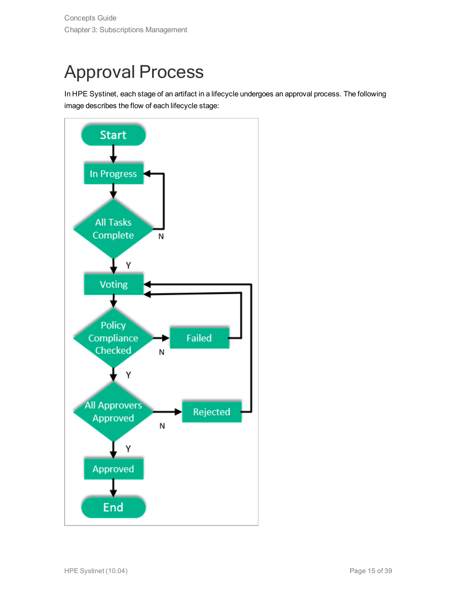# <span id="page-14-0"></span>Approval Process

In HPE Systinet, each stage of an artifact in a lifecycle undergoes an approval process. The following image describes the flow of each lifecycle stage:

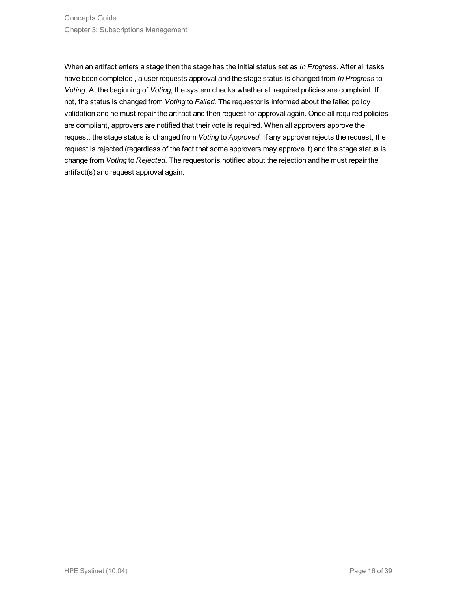When an artifact enters a stage then the stage has the initial status set as *In Progress*. After all tasks have been completed , a user requests approval and the stage status is changed from *In Progress* to *Voting*. At the beginning of *Voting*, the system checks whether all required policies are complaint. If not, the status is changed from *Voting* to *Failed*. The requestor is informed about the failed policy validation and he must repair the artifact and then request for approval again. Once all required policies are compliant, approvers are notified that their vote is required. When all approvers approve the request, the stage status is changed from *Voting* to *Approved*. If any approver rejects the request, the request is rejected (regardless of the fact that some approvers may approve it) and the stage status is change from *Voting* to *Rejected*. The requestor is notified about the rejection and he must repair the artifact(s) and request approval again.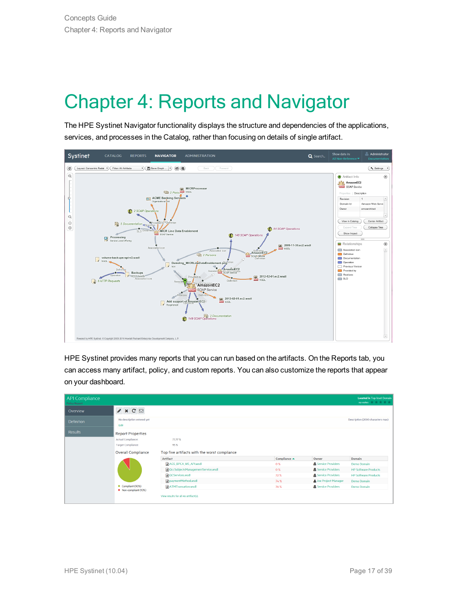# <span id="page-16-0"></span>Chapter 4: Reports and Navigator

The HPE Systinet Navigator functionality displays the structure and dependencies of the applications, services, and processes in the Catalog, rather than focusing on details of single artifact.



HPE Systinet provides many reports that you can run based on the artifacts. On the Reports tab, you can access many artifact, policy, and custom reports. You can also customize the reports that appear on your dashboard.

| <b>API Compliance</b><br><b>Policy Report</b> |                                    |                                              |              |                                | <b>Located in Top-level Domain</b><br>no votes $\frac{1}{2}$ $\frac{1}{2}$ $\frac{1}{2}$ $\frac{1}{2}$ $\frac{1}{2}$ |
|-----------------------------------------------|------------------------------------|----------------------------------------------|--------------|--------------------------------|----------------------------------------------------------------------------------------------------------------------|
| Overview                                      | $\mathscr{I}$ x C $\boxdot$        |                                              |              |                                |                                                                                                                      |
| <b>Definition</b>                             | No description entered yet<br>Edit |                                              |              |                                | Description (2000 characters max)                                                                                    |
| <b>Results</b>                                | <b>Report Properties</b>           |                                              |              |                                |                                                                                                                      |
|                                               | <b>Actual Compliance:</b>          | 77.77%                                       |              |                                |                                                                                                                      |
|                                               | <b>Target Compliance:</b>          | 95%                                          |              |                                |                                                                                                                      |
|                                               | <b>Overall Compliance</b>          | Top five artifacts with the worst compliance |              |                                |                                                                                                                      |
|                                               |                                    | Artifact                                     | Compliance ▲ | Owner                          | Domain                                                                                                               |
|                                               |                                    | AGS_BPCA_WS_API.wsdl                         | 0%           | <b>&amp; Service Providers</b> | <b>Demo Domain</b>                                                                                                   |
|                                               |                                    | QccSubjectsManagementService.wsdl            | 0%           | <b>蠢 Service Providers</b>     | <b>HP Software Products</b>                                                                                          |
|                                               |                                    | <b>A</b> QCServices.wsdl                     | 72%          | <b>盘 Service Providers</b>     | <b>HP Software Products</b>                                                                                          |
|                                               |                                    | <b>a</b> paymentMethod.wsdl                  | 74 %         | Joe Project Manager            | Demo Domain                                                                                                          |
|                                               | Compliant (90%)                    | ATMTransation.wsdl                           | 76%          | <b>高</b> Service Providers     | Demo Domain                                                                                                          |
|                                               | • Non-compliant (10%)              | View results for all 46 artifact(s),         |              |                                |                                                                                                                      |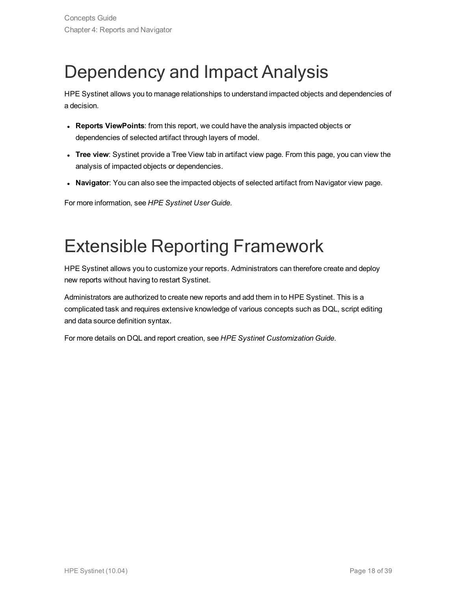## <span id="page-17-0"></span>Dependency and Impact Analysis

HPE Systinet allows you to manage relationships to understand impacted objects and dependencies of a decision.

- **Reports ViewPoints**: from this report, we could have the analysis impacted objects or dependencies of selected artifact through layers of model.
- **Tree view**: Systinet provide a Tree View tab in artifact view page. From this page, you can view the analysis of impacted objects or dependencies.
- **Navigator**: You can also see the impacted objects of selected artifact from Navigator view page.

<span id="page-17-1"></span>For more information, see *HPE Systinet User Guide*.

### Extensible Reporting Framework

HPE Systinet allows you to customize your reports. Administrators can therefore create and deploy new reports without having to restart Systinet.

Administrators are authorized to create new reports and add them in to HPE Systinet. This is a complicated task and requires extensive knowledge of various concepts such as DQL, script editing and data source definition syntax.

For more details on DQL and report creation, see *HPE Systinet Customization Guide*.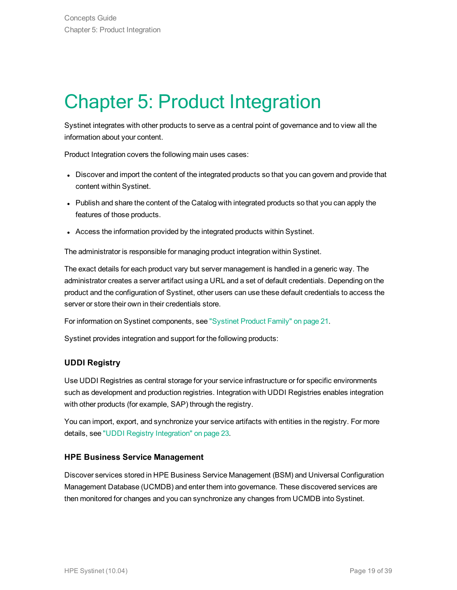# <span id="page-18-0"></span>Chapter 5: Product Integration

Systinet integrates with other products to serve as a central point of governance and to view all the information about your content.

Product Integration covers the following main uses cases:

- Discover and import the content of the integrated products so that you can govern and provide that content within Systinet.
- Publish and share the content of the Catalog with integrated products so that you can apply the features of those products.
- Access the information provided by the integrated products within Systinet.

The administrator is responsible for managing product integration within Systinet.

The exact details for each product vary but server management is handled in a generic way. The administrator creates a server artifact using a URL and a set of default credentials. Depending on the product and the configuration of Systinet, other users can use these default credentials to access the server or store their own in their credentials store.

For information on Systinet components, see ["Systinet](#page-20-0) Product Family" on page 21.

Systinet provides integration and support for the following products:

#### **UDDI Registry**

Use UDDI Registries as central storage for your service infrastructure or for specific environments such as development and production registries. Integration with UDDI Registries enables integration with other products (for example, SAP) through the registry.

You can import, export, and synchronize your service artifacts with entities in the registry. For more details, see "UDDI Registry [Integration"](#page-22-0) on page 23.

#### **HPE Business Service Management**

Discover services stored in HPE Business Service Management (BSM) and Universal Configuration Management Database (UCMDB) and enter them into governance. These discovered services are then monitored for changes and you can synchronize any changes from UCMDB into Systinet.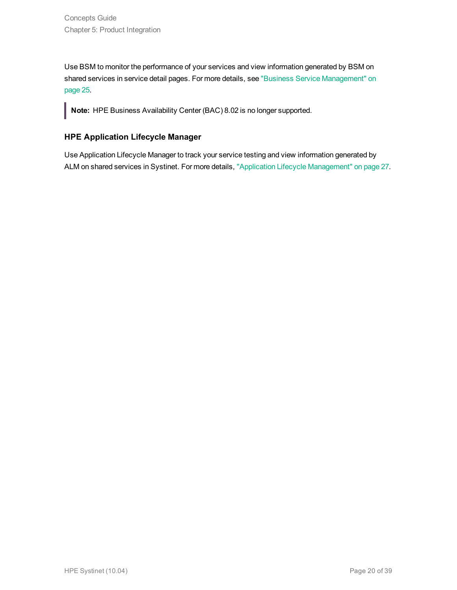Use BSM to monitor the performance of your services and view information generated by BSM on shared services in service detail pages. For more details, see "Business Service [Management"](#page-24-0) on [page](#page-24-0) 25.

**Note:** HPE Business Availability Center (BAC) 8.02 is no longer supported.

#### **HPE Application Lifecycle Manager**

Use Application Lifecycle Manager to track your service testing and view information generated by ALM on shared services in Systinet. For more details, "Application Lifecycle [Management"](#page-26-0) on page 27.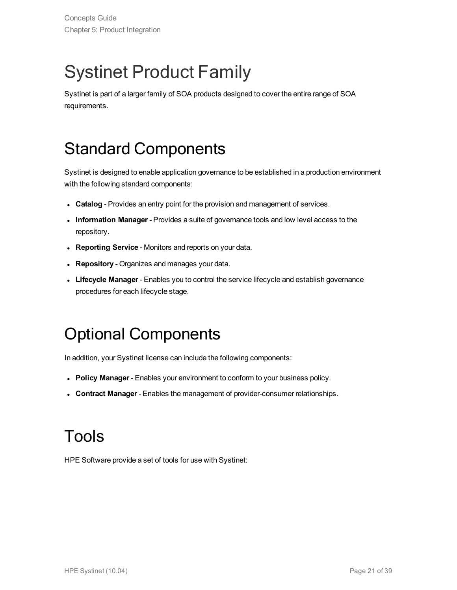## <span id="page-20-0"></span>Systinet Product Family

<span id="page-20-1"></span>Systinet is part of a larger family of SOA products designed to cover the entire range of SOA requirements.

### Standard Components

Systinet is designed to enable application governance to be established in a production environment with the following standard components:

- **Catalog** Provides an entry point for the provision and management of services.
- **Information Manager** Provides a suite of governance tools and low level access to the repository.
- **Reporting Service** Monitors and reports on your data.
- **Repository** Organizes and manages your data.
- <span id="page-20-2"></span>**Lifecycle Manager** - Enables you to control the service lifecycle and establish governance procedures for each lifecycle stage.

### Optional Components

In addition, your Systinet license can include the following components:

- <sup>l</sup> **Policy Manager** Enables your environment to conform to your business policy.
- <span id="page-20-3"></span><sup>l</sup> **Contract Manager** - Enables the management of provider-consumer relationships.

### Tools

HPE Software provide a set of tools for use with Systinet: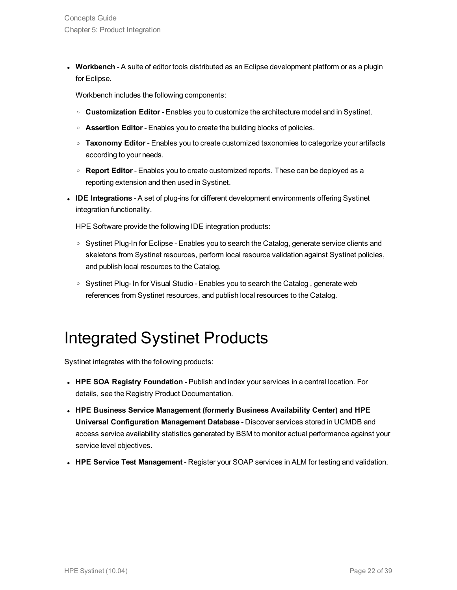**• Workbench** - A suite of editor tools distributed as an Eclipse development platform or as a plugin for Eclipse.

Workbench includes the following components:

- <sup>o</sup> **Customization Editor** Enables you to customize the architecture model and in Systinet.
- <sup>o</sup> **Assertion Editor** Enables you to create the building blocks of policies.
- <sup>o</sup> **Taxonomy Editor** Enables you to create customized taxonomies to categorize your artifacts according to your needs.
- <sup>o</sup> **Report Editor** Enables you to create customized reports. These can be deployed as a reporting extension and then used in Systinet.
- <sup>l</sup> **IDE Integrations** A set of plug-ins for different development environments offering Systinet integration functionality.

HPE Software provide the following IDE integration products:

- Systinet Plug-In for Eclipse Enables you to search the Catalog, generate service clients and skeletons from Systinet resources, perform local resource validation against Systinet policies, and publish local resources to the Catalog.
- <span id="page-21-0"></span>○ Systinet Plug- In for Visual Studio - Enables you to search the Catalog, generate web references from Systinet resources, and publish local resources to the Catalog.

### Integrated Systinet Products

Systinet integrates with the following products:

- <sup>l</sup> **HPE SOA Registry Foundation** Publish and index your services in a central location. For details, see the Registry Product Documentation.
- <sup>l</sup> **HPE Business Service Management (formerly Business Availability Center) and HPE Universal Configuration Management Database** - Discover services stored in UCMDB and access service availability statistics generated by BSM to monitor actual performance against your service level objectives.
- <sup>l</sup> **HPE Service Test Management** Register your SOAP services in ALM for testing and validation.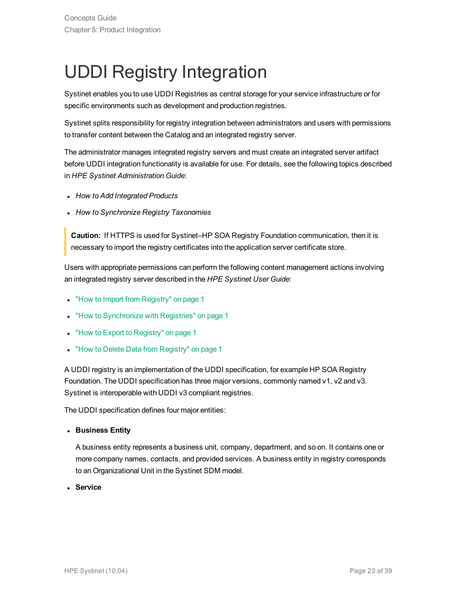# <span id="page-22-0"></span>UDDI Registry Integration

Systinet enables you to use UDDI Registries as central storage for your service infrastructure or for specific environments such as development and production registries.

Systinet splits responsibility for registry integration between administrators and users with permissions to transfer content between the Catalog and an integrated registry server.

The administrator manages integrated registry servers and must create an integrated server artifact before UDDI integration functionality is available for use. For details, see the following topics described in *HPE Systinet Administration Guide*:

- <sup>l</sup> *How to Add Integrated Products*
- <sup>l</sup> *How to Synchronize Registry Taxonomies*

**Caution:** If HTTPS is used for Systinet–HP SOA Registry Foundation communication, then it is necessary to import the registry certificates into the application server certificate store.

Users with appropriate permissions can perform the following content management actions involving an integrated registry server described in the *HPE Systinet User Guide*:

- "How to Import from Registry" on page 1
- "How to Synchronize with Registries" on page 1
- "How to Export to Registry" on page 1
- "How to Delete Data from Registry" on page 1

A UDDI registry is an implementation of the UDDI specification, for example HP SOA Registry Foundation. The UDDI specification has three major versions, commonly named v1, v2 and v3. Systinet is interoperable with UDDI v3 compliant registries.

The UDDI specification defines four major entities:

<sup>l</sup> **Business Entity**

A business entity represents a business unit, company, department, and so on. It contains one or more company names, contacts, and provided services. A business entity in registry corresponds to an Organizational Unit in the Systinet SDM model.

<sup>l</sup> **Service**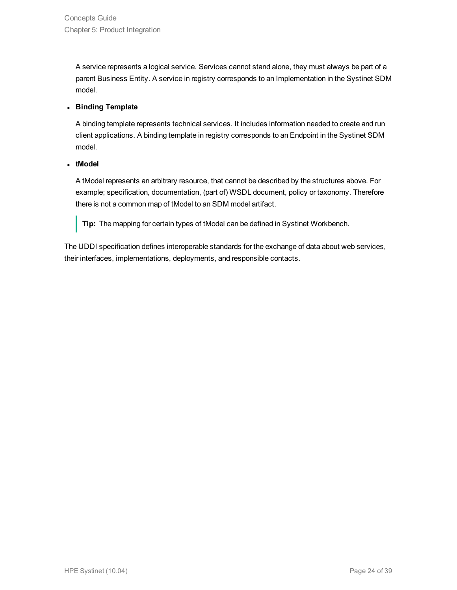A service represents a logical service. Services cannot stand alone, they must always be part of a parent Business Entity. A service in registry corresponds to an Implementation in the Systinet SDM model.

#### <sup>l</sup> **Binding Template**

A binding template represents technical services. It includes information needed to create and run client applications. A binding template in registry corresponds to an Endpoint in the Systinet SDM model.

#### <sup>l</sup> **tModel**

A tModel represents an arbitrary resource, that cannot be described by the structures above. For example; specification, documentation, (part of) WSDL document, policy or taxonomy. Therefore there is not a common map of tModel to an SDM model artifact.

**Tip:** The mapping for certain types of tModel can be defined in Systinet Workbench.

The UDDI specification defines interoperable standards for the exchange of data about web services, their interfaces, implementations, deployments, and responsible contacts.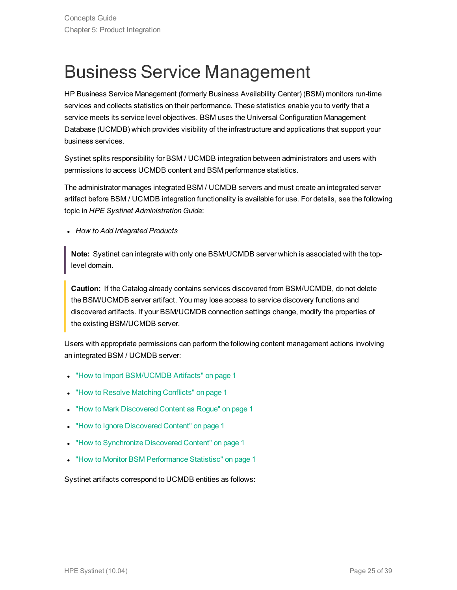## <span id="page-24-0"></span>Business Service Management

HP Business Service Management (formerly Business Availability Center) (BSM) monitors run-time services and collects statistics on their performance. These statistics enable you to verify that a service meets its service level objectives. BSM uses the Universal Configuration Management Database (UCMDB) which provides visibility of the infrastructure and applications that support your business services.

Systinet splits responsibility for BSM / UCMDB integration between administrators and users with permissions to access UCMDB content and BSM performance statistics.

The administrator manages integrated BSM / UCMDB servers and must create an integrated server artifact before BSM / UCMDB integration functionality is available for use. For details, see the following topic in *HPE Systinet Administration Guide*:

<sup>l</sup> *How to Add Integrated Products*

**Note:** Systinet can integrate with only one BSM/UCMDB server which is associated with the toplevel domain.

**Caution:** If the Catalog already contains services discovered from BSM/UCMDB, do not delete the BSM/UCMDB server artifact. You may lose access to service discovery functions and discovered artifacts. If your BSM/UCMDB connection settings change, modify the properties of the existing BSM/UCMDB server.

Users with appropriate permissions can perform the following content management actions involving an integrated BSM / UCMDB server:

- "How to Import BSM/UCMDB Artifacts" on page 1
- "How to Resolve Matching Conflicts" on page 1
- "How to Mark Discovered Content as Rogue" on page 1
- "How to Ignore Discovered Content" on page 1
- "How to Synchronize Discovered Content" on page 1
- "How to Monitor BSM Performance Statistisc" on page 1

Systinet artifacts correspond to UCMDB entities as follows: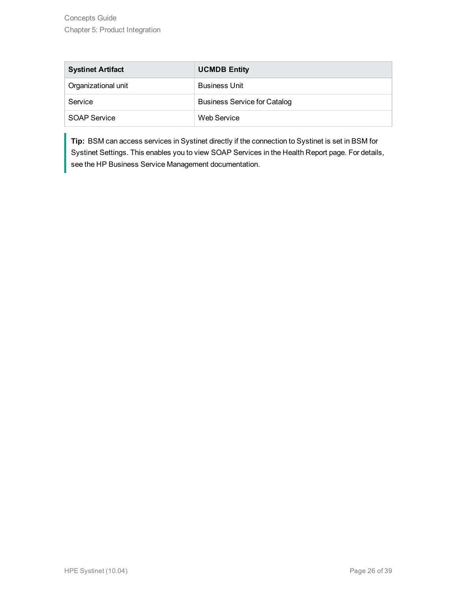| <b>Systinet Artifact</b> | <b>UCMDB Entity</b>                 |
|--------------------------|-------------------------------------|
| Organizational unit      | <b>Business Unit</b>                |
| Service                  | <b>Business Service for Catalog</b> |
| SOAP Service             | Web Service                         |

**Tip:** BSM can access services in Systinet directly if the connection to Systinet is set in BSM for Systinet Settings. This enables you to view SOAP Services in the Health Report page. For details, see the HP Business Service Management documentation.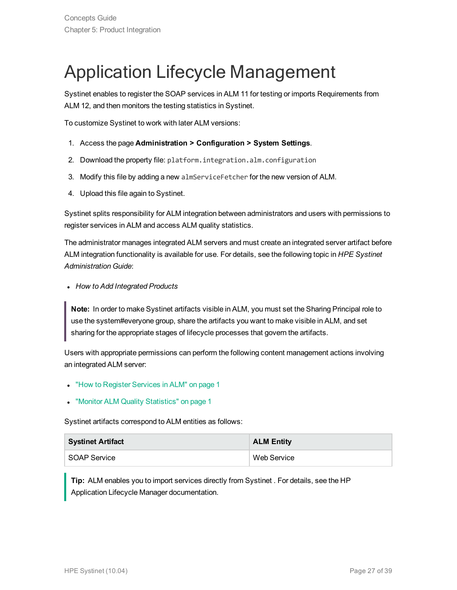## <span id="page-26-0"></span>Application Lifecycle Management

Systinet enables to register the SOAP services in ALM 11 for testing or imports Requirements from ALM 12, and then monitors the testing statistics in Systinet.

To customize Systinet to work with later ALM versions:

- 1. Access the page **Administration > Configuration > System Settings**.
- 2. Download the property file: platform.integration.alm.configuration
- 3. Modify this file by adding a new almServiceFetcher for the new version of ALM.
- 4. Upload this file again to Systinet.

Systinet splits responsibility for ALM integration between administrators and users with permissions to register services in ALM and access ALM quality statistics.

The administrator manages integrated ALM servers and must create an integrated server artifact before ALM integration functionality is available for use. For details, see the following topic in *HPE Systinet Administration Guide*:

<sup>l</sup> *How to Add Integrated Products*

**Note:** In order to make Systinet artifacts visible in ALM, you must set the Sharing Principal role to use the system#everyone group, share the artifacts you want to make visible in ALM, and set sharing for the appropriate stages of lifecycle processes that govern the artifacts.

Users with appropriate permissions can perform the following content management actions involving an integrated ALM server:

- "How to Register Services in ALM" on page 1
- **.** "Monitor ALM Quality Statistics" on page 1

Systinet artifacts correspond to ALM entities as follows:

| <b>Systinet Artifact</b> | <b>ALM Entity</b> |
|--------------------------|-------------------|
| SOAP Service             | Web Service       |

**Tip:** ALM enables you to import services directly from Systinet . For details, see the HP Application Lifecycle Manager documentation.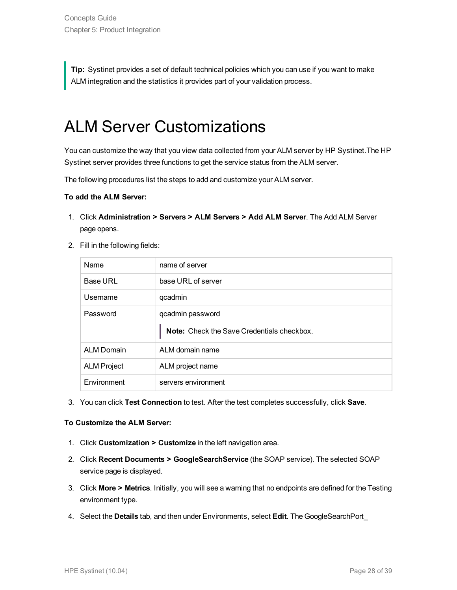<span id="page-27-0"></span>**Tip:** Systinet provides a set of default technical policies which you can use if you want to make ALM integration and the statistics it provides part of your validation process.

### ALM Server Customizations

You can customize the way that you view data collected from your ALM server by HP Systinet.The HP Systinet server provides three functions to get the service status from the ALM server.

The following procedures list the steps to add and customize your ALM server.

#### **To add the ALM Server:**

- 1. Click **Administration > Servers > ALM Servers > Add ALM Server**. The Add ALM Server page opens.
- 2. Fill in the following fields:

| <b>Name</b>        | name of server                             |
|--------------------|--------------------------------------------|
| <b>Base URL</b>    | base URL of server                         |
| Usemame            | qcadmin                                    |
| Password           | qcadmin password                           |
|                    | Note: Check the Save Credentials checkbox. |
| <b>ALM Domain</b>  | ALM domain name                            |
|                    |                                            |
| <b>ALM Project</b> | ALM project name                           |

3. You can click **Test Connection** to test. After the test completes successfully, click **Save**.

#### **To Customize the ALM Server:**

- 1. Click **Customization > Customize** in the left navigation area.
- 2. Click **Recent Documents > GoogleSearchService** (the SOAP service). The selected SOAP service page is displayed.
- 3. Click **More > Metrics**. Initially, you will see a warning that no endpoints are defined for the Testing environment type.
- 4. Select the **Details** tab, and then under Environments, select **Edit**. The GoogleSearchPort\_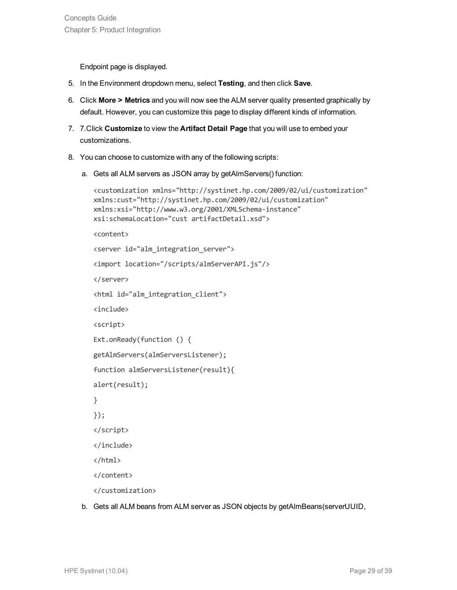Endpoint page is displayed.

- 5. In the Environment dropdown menu, select **Testing**, and then click **Save**.
- 6. Click **More > Metrics** and you will now see the ALM server quality presented graphically by default. However, you can customize this page to display different kinds of information.
- 7. 7.Click **Customize** to view the **Artifact Detail Page** that you will use to embed your customizations.
- 8. You can choose to customize with any of the following scripts:
	- a. Gets all ALM servers as JSON array by getAlmServers() function:

```
<customization xmlns="http://systinet.hp.com/2009/02/ui/customization"
xmlns:cust="http://systinet.hp.com/2009/02/ui/customization"
xmlns:xsi="http://www.w3.org/2001/XMLSchema-instance"
xsi:schemaLocation="cust artifactDetail.xsd">
<content>
<server id="alm_integration_server">
<import location="/scripts/almServerAPI.js"/>
</server>
<html id="alm_integration_client">
<include>
<script>
Ext.onReady(function () {
getAlmServers(almServersListener);
function almServersListener(result){
alert(result);
}
});
</script>
</include>
</html>
</content>
</customization>
```
b. Gets all ALM beans from ALM server as JSON objects by getAlmBeans(serverUUID,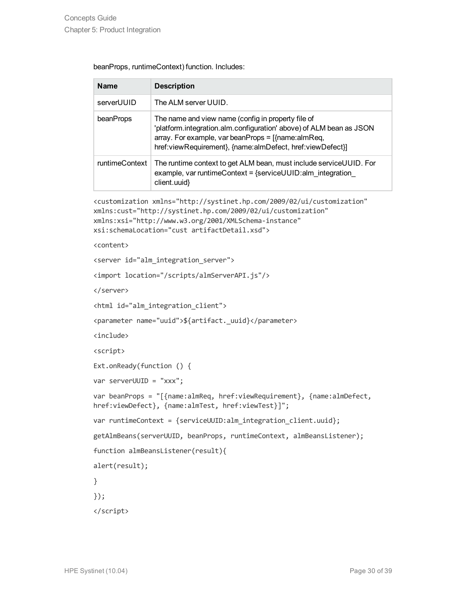| beanProps, runtimeContext) function. Includes: |  |
|------------------------------------------------|--|
|------------------------------------------------|--|

| <b>Name</b>    | <b>Description</b>                                                                                                                                                                                                                                   |
|----------------|------------------------------------------------------------------------------------------------------------------------------------------------------------------------------------------------------------------------------------------------------|
| serverUUID     | The ALM server UUID.                                                                                                                                                                                                                                 |
| beanProps      | The name and view name (config in property file of<br>'platform.integration.alm.configuration' above) of ALM bean as JSON<br>array. For example, var beanProps = $[\text{name:almReg}]$<br>href:viewRequirement}, {name:almDefect, href:viewDefect}] |
| runtimeContext | The runtime context to get ALM bean, must include service UUID. For<br>example, var runtimeContext = $\{$ serviceUUID:alm integration<br>client.uuid}                                                                                                |

```
<customization xmlns="http://systinet.hp.com/2009/02/ui/customization"
xmlns:cust="http://systinet.hp.com/2009/02/ui/customization"
xmlns:xsi="http://www.w3.org/2001/XMLSchema-instance"
xsi:schemaLocation="cust artifactDetail.xsd">
```
<content>

```
<server id="alm_integration_server">
```

```
<import location="/scripts/almServerAPI.js"/>
```
</server>

```
<html id="alm_integration_client">
```

```
<parameter name="uuid">${artifact._uuid}</parameter>
```
<include>

<script>

```
Ext.onReady(function () {
```

```
var serverUUID = "xxx";
```

```
var beanProps = "[{name:almReq, href:viewRequirement}, {name:almDefect,
href:viewDefect}, {name:almTest, href:viewTest}]";
```

```
var runtimeContext = {serviceUUID:alm integration client.uuid};
```

```
getAlmBeans(serverUUID, beanProps, runtimeContext, almBeansListener);
```

```
function almBeansListener(result){
```
alert(result);

}

});

</script>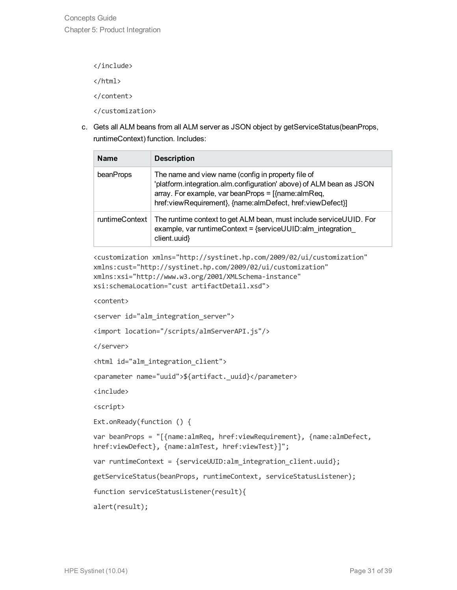</include> </html> </content> </customization>

c. Gets all ALM beans from all ALM server as JSON object by getServiceStatus(beanProps, runtimeContext) function. Includes:

| <b>Name</b>    | <b>Description</b>                                                                                                                                                                                                                                   |
|----------------|------------------------------------------------------------------------------------------------------------------------------------------------------------------------------------------------------------------------------------------------------|
| beanProps      | The name and view name (config in property file of<br>'platform.integration.alm.configuration' above) of ALM bean as JSON<br>array. For example, var beanProps = $[\text{name:almReg}]$<br>href:viewRequirement}, {name:almDefect, href:viewDefect}] |
| runtimeContext | The runtime context to get ALM bean, must include serviceUUID. For<br>example, var runtimeContext = $\{$ serviceUUID: alm integration<br>client.uuid}                                                                                                |

```
<customization xmlns="http://systinet.hp.com/2009/02/ui/customization"
xmlns:cust="http://systinet.hp.com/2009/02/ui/customization"
xmlns:xsi="http://www.w3.org/2001/XMLSchema-instance"
xsi:schemaLocation="cust artifactDetail.xsd">
```
<content>

```
<server id="alm_integration_server">
```

```
<import location="/scripts/almServerAPI.js"/>
```
</server>

```
<html id="alm_integration_client">
```

```
<parameter name="uuid">${artifact._uuid}</parameter>
```
<include>

<script>

```
Ext.onReady(function () {
```

```
var beanProps = "[{name:almReq, href:viewRequirement}, {name:almDefect,
href:viewDefect}, {name:almTest, href:viewTest}]";
```

```
var runtimeContext = {serviceUUID:alm_integration_client.uuid};
```

```
getServiceStatus(beanProps, runtimeContext, serviceStatusListener);
```

```
function serviceStatusListener(result){
```
alert(result);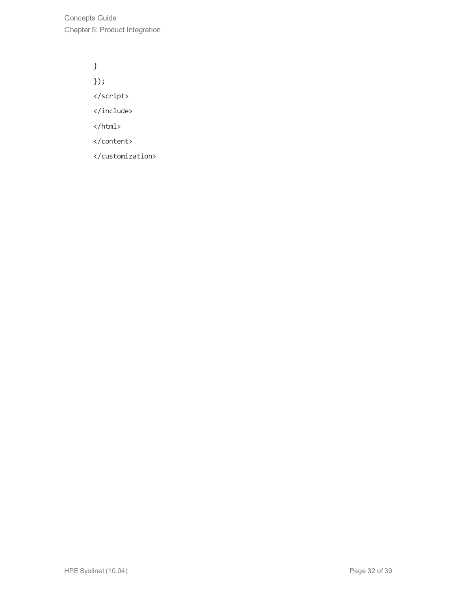Concepts Guide Chapter 5: Product Integration

> } }); </script> </include> </html> </content> </customization>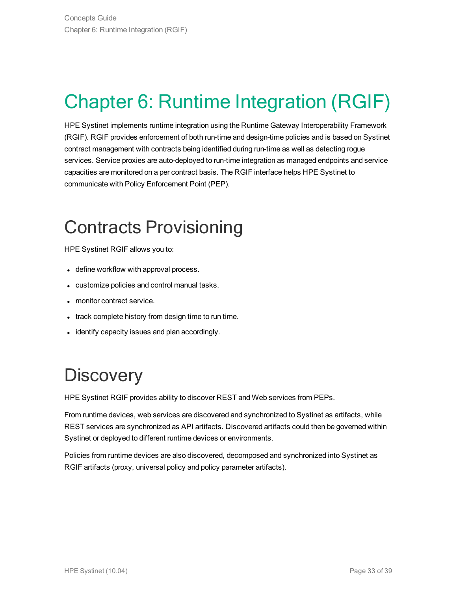# <span id="page-32-0"></span>Chapter 6: Runtime Integration (RGIF)

HPE Systinet implements runtime integration using the Runtime Gateway Interoperability Framework (RGIF). RGIF provides enforcement of both run-time and design-time policies and is based on Systinet contract management with contracts being identified during run-time as well as detecting rogue services. Service proxies are auto-deployed to run-time integration as managed endpoints and service capacities are monitored on a per contract basis. The RGIF interface helps HPE Systinet to communicate with Policy Enforcement Point (PEP).

## <span id="page-32-1"></span>Contracts Provisioning

HPE Systinet RGIF allows you to:

- define workflow with approval process.
- customize policies and control manual tasks.
- monitor contract service.
- track complete history from design time to run time.
- <span id="page-32-2"></span>• identify capacity issues and plan accordingly.

## **Discovery**

HPE Systinet RGIF provides ability to discover REST and Web services from PEPs.

From runtime devices, web services are discovered and synchronized to Systinet as artifacts, while REST services are synchronized as API artifacts. Discovered artifacts could then be governed within Systinet or deployed to different runtime devices or environments.

Policies from runtime devices are also discovered, decomposed and synchronized into Systinet as RGIF artifacts (proxy, universal policy and policy parameter artifacts).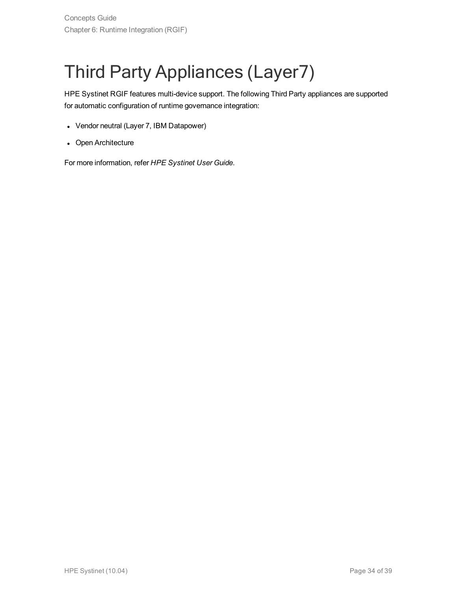# <span id="page-33-0"></span>Third Party Appliances (Layer7)

HPE Systinet RGIF features multi-device support. The following Third Party appliances are supported for automatic configuration of runtime governance integration:

- Vendor neutral (Layer 7, IBM Datapower)
- Open Architecture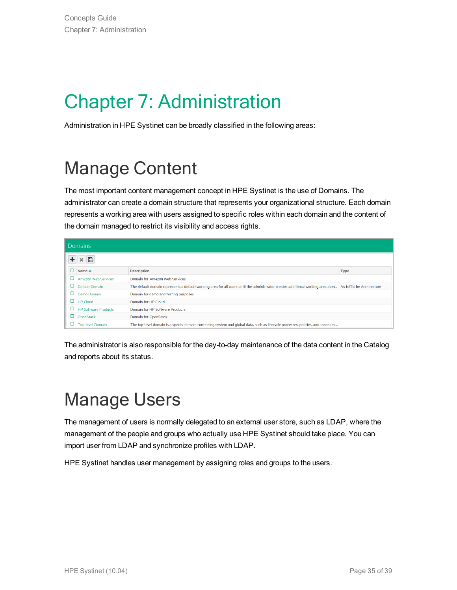# <span id="page-34-0"></span>Chapter 7: Administration

<span id="page-34-1"></span>Administration in HPE Systinet can be broadly classified in the following areas:

## Manage Content

The most important content management concept in HPE Systinet is the use of Domains. The administrator can create a domain structure that represents your organizational structure. Each domain represents a working area with users assigned to specific roles within each domain and the content of the domain managed to restrict its visibility and access rights.

| <b>Domains</b> |                             |                                                                                                                                                         |             |  |  |  |  |  |  |  |
|----------------|-----------------------------|---------------------------------------------------------------------------------------------------------------------------------------------------------|-------------|--|--|--|--|--|--|--|
|                | B                           |                                                                                                                                                         |             |  |  |  |  |  |  |  |
|                | Name $\triangle$            | <b>Description</b>                                                                                                                                      | <b>Type</b> |  |  |  |  |  |  |  |
|                | Amazon Web Services         | Domain for Amazon Web Services                                                                                                                          |             |  |  |  |  |  |  |  |
|                | <b>Default Domain</b>       | The default domain represents a default working area for all users until the administrator creates additional working area dom As-is/To-be Architecture |             |  |  |  |  |  |  |  |
|                | Demo Domain                 | Domain for demo and testing purposes                                                                                                                    |             |  |  |  |  |  |  |  |
|                | <b>HP Cloud</b>             | Domain for HP Cloud                                                                                                                                     |             |  |  |  |  |  |  |  |
|                | <b>HP Software Products</b> | Domain for HP Software Products                                                                                                                         |             |  |  |  |  |  |  |  |
|                | OpenStack                   | <b>Domain for OpenStack</b>                                                                                                                             |             |  |  |  |  |  |  |  |
|                | <b>Top-level Domain</b>     | The top-level domain is a special domain containing system and global data, such as lifecycle processes, policies, and taxonomi                         |             |  |  |  |  |  |  |  |

The administrator is also responsible for the day-to-day maintenance of the data content in the Catalog and reports about its status.

## <span id="page-34-2"></span>Manage Users

The management of users is normally delegated to an external user store, such as LDAP, where the management of the people and groups who actually use HPE Systinet should take place. You can import user from LDAP and synchronize profiles with LDAP.

HPE Systinet handles user management by assigning roles and groups to the users.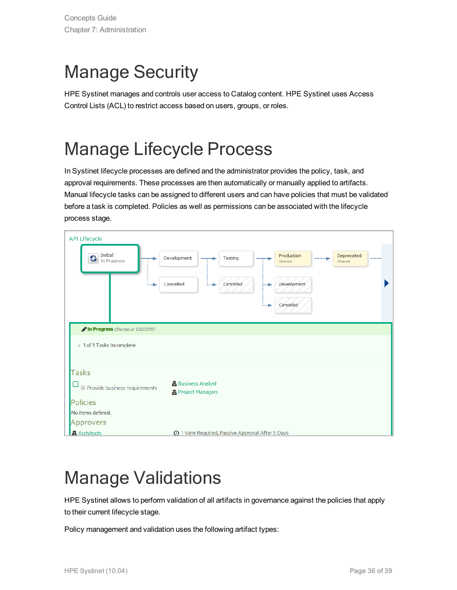## <span id="page-35-0"></span>Manage Security

HPE Systinet manages and controls user access to Catalog content. HPE Systinet uses Access Control Lists (ACL) to restrict access based on users, groups, or roles.

## <span id="page-35-1"></span>Manage Lifecycle Process

In Systinet lifecycle processes are defined and the administrator provides the policy, task, and approval requirements. These processes are then automatically or manually applied to artifacts. Manual lifecycle tasks can be assigned to different users and can have policies that must be validated before a task is completed. Policies as well as permissions can be associated with the lifecycle process stage.

| <b>API Lifecycle</b>                                          |                                 |                                                         |  |                      |      |                      |  |  |  |
|---------------------------------------------------------------|---------------------------------|---------------------------------------------------------|--|----------------------|------|----------------------|--|--|--|
| Initial<br>G<br>In Progress                                   | Development                     | Testing                                                 |  | Production<br>Shared | ---- | Deprecated<br>Shared |  |  |  |
|                                                               | Cancelled<br>:ը<br>. <b>. .</b> | Cancelled                                               |  | Development          |      |                      |  |  |  |
|                                                               |                                 |                                                         |  | Cancelled            |      |                      |  |  |  |
| In Progress (Started at 1/20/2015)<br>1 of 1 Tasks Incomplete |                                 |                                                         |  |                      |      |                      |  |  |  |
| <b>Tasks</b>                                                  |                                 |                                                         |  |                      |      |                      |  |  |  |
| <b>E</b> Provide business requirements                        |                                 | <b>Business Analyst</b><br><b>R</b> Project Managers    |  |                      |      |                      |  |  |  |
| <b>Policies</b>                                               |                                 |                                                         |  |                      |      |                      |  |  |  |
| No items defined.<br>Approvers                                |                                 |                                                         |  |                      |      |                      |  |  |  |
| <b>盘 Architects</b>                                           |                                 | <b>4</b> 1 Vote Required, Passive Approval After 5 Days |  |                      |      |                      |  |  |  |

## <span id="page-35-2"></span>Manage Validations

HPE Systinet allows to perform validation of all artifacts in governance against the policies that apply to their current lifecycle stage.

Policy management and validation uses the following artifact types: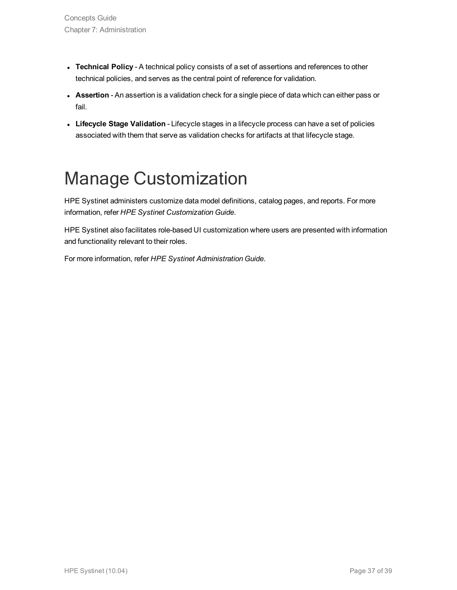- **· Technical Policy** A technical policy consists of a set of assertions and references to other technical policies, and serves as the central point of reference for validation.
- **Assertion** An assertion is a validation check for a single piece of data which can either pass or fail.
- **Lifecycle Stage Validation** Lifecycle stages in a lifecycle process can have a set of policies associated with them that serve as validation checks for artifacts at that lifecycle stage.

## <span id="page-36-0"></span>Manage Customization

HPE Systinet administers customize data model definitions, catalog pages, and reports. For more information, refer *HPE Systinet Customization Guide*.

HPE Systinet also facilitates role-based UI customization where users are presented with information and functionality relevant to their roles.

For more information, refer *HPE Systinet Administration Guide*.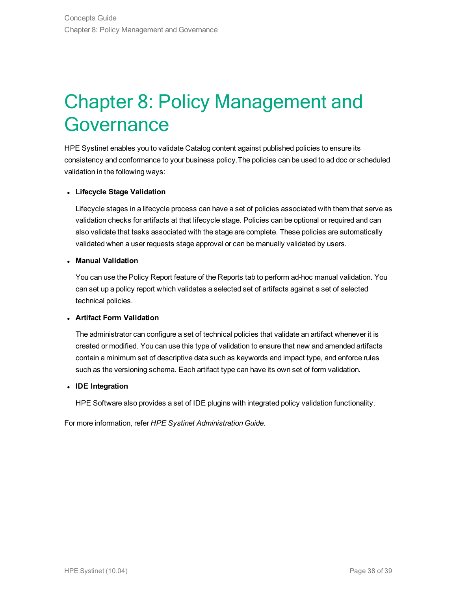## <span id="page-37-0"></span>Chapter 8: Policy Management and **Governance**

HPE Systinet enables you to validate Catalog content against published policies to ensure its consistency and conformance to your business policy.The policies can be used to ad doc or scheduled validation in the following ways:

#### <sup>l</sup> **Lifecycle Stage Validation**

Lifecycle stages in a lifecycle process can have a set of policies associated with them that serve as validation checks for artifacts at that lifecycle stage. Policies can be optional or required and can also validate that tasks associated with the stage are complete. These policies are automatically validated when a user requests stage approval or can be manually validated by users.

#### <sup>l</sup> **Manual Validation**

You can use the Policy Report feature of the Reports tab to perform ad-hoc manual validation. You can set up a policy report which validates a selected set of artifacts against a set of selected technical policies.

#### <sup>l</sup> **Artifact Form Validation**

The administrator can configure a set of technical policies that validate an artifact whenever it is created or modified. You can use this type of validation to ensure that new and amended artifacts contain a minimum set of descriptive data such as keywords and impact type, and enforce rules such as the versioning schema. Each artifact type can have its own set of form validation.

#### <sup>l</sup> **IDE Integration**

HPE Software also provides a set of IDE plugins with integrated policy validation functionality.

For more information, refer *HPE Systinet Administration Guide*.